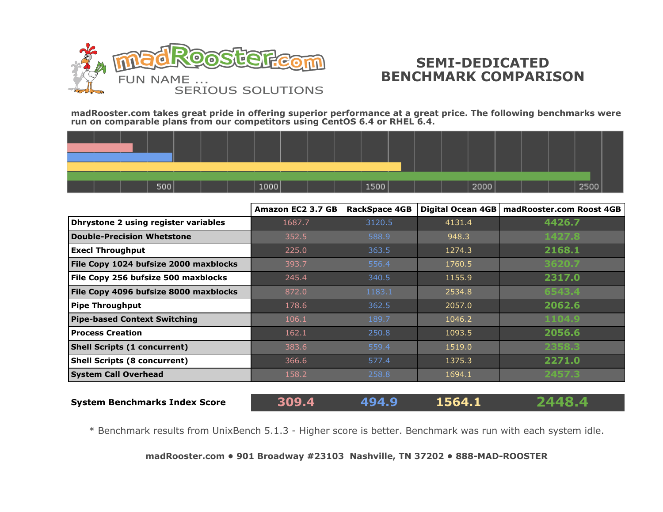

## **SEMI-DEDICATED BENCHMARK COMPARISON**

**madRooster.com takes great pride in offering superior performance at a great price. The following benchmarks were run on comparable plans from our competitors using CentOS 6.4 or RHEL 6.4.**

|  | 500 |  | 1000 |  | 1500 |  | 2000 |  | 2500 |  |
|--|-----|--|------|--|------|--|------|--|------|--|

|                                       | Amazon EC2 3.7 GB | <b>RackSpace 4GB</b> |        | Digital Ocean 4GB   madRooster.com Roost 4GB |
|---------------------------------------|-------------------|----------------------|--------|----------------------------------------------|
| Dhrystone 2 using register variables  | 1687.7            | 3120.5               | 4131.4 | 4426.7                                       |
| <b>Double-Precision Whetstone</b>     | 352.5             | 588.9                | 948.3  | 1427.8                                       |
| <b>Execl Throughput</b>               | 225.0             | 363.5                | 1274.3 | 2168.1                                       |
| File Copy 1024 bufsize 2000 maxblocks | 393.7             | 556.4                | 1760.5 | 3620.7                                       |
| File Copy 256 bufsize 500 maxblocks   | 245.4             | 340.5                | 1155.9 | 2317.0                                       |
| File Copy 4096 bufsize 8000 maxblocks | 872.0             | 1183.1               | 2534.8 | 6543.4                                       |
| <b>Pipe Throughput</b>                | 178.6             | 362.5                | 2057.0 | 2062.6                                       |
| <b>Pipe-based Context Switching</b>   | 106.1             | 189.7                | 1046.2 | 1104.9                                       |
| <b>Process Creation</b>               | 162.1             | 250.8                | 1093.5 | 2056.6                                       |
| <b>Shell Scripts (1 concurrent)</b>   | 383.6             | 559.4                | 1519.0 | 2358.3                                       |
| <b>Shell Scripts (8 concurrent)</b>   | 366.6             | 577.4                | 1375.3 | 2271.0                                       |
| <b>System Call Overhead</b>           | 158.2             | 258.8                | 1694.1 | 2457.3                                       |
|                                       |                   |                      |        |                                              |

**System Benchmarks Index Score 309.4 494.9 1564.1 2448.4**

\* Benchmark results from UnixBench 5.1.3 - Higher score is better. Benchmark was run with each system idle.

**[madRooster.com](http://www.madrooster.com/semi-dedicated-servers) • 901 Broadway #23103 Nashville, TN 37202 • 888-MAD-ROOSTER**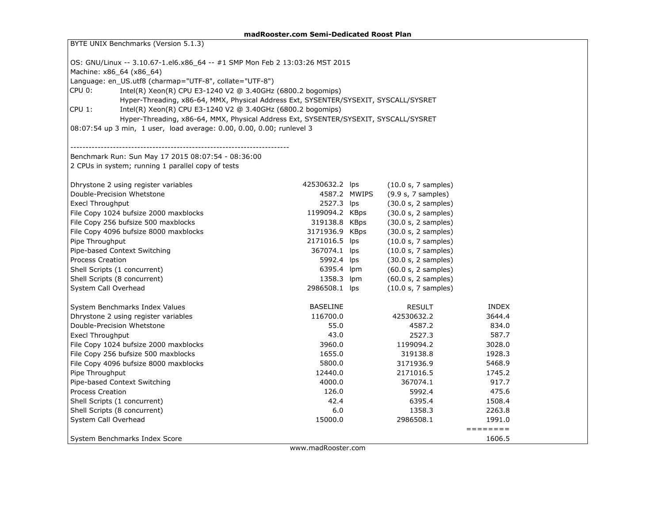| BYTE UNIX Benchmarks (Version 5.1.3)                                                 |                 |                     |                                                                                   |  |  |  |  |  |  |  |
|--------------------------------------------------------------------------------------|-----------------|---------------------|-----------------------------------------------------------------------------------|--|--|--|--|--|--|--|
| OS: GNU/Linux -- 3.10.67-1.el6.x86_64 -- #1 SMP Mon Feb 2 13:03:26 MST 2015          |                 |                     |                                                                                   |  |  |  |  |  |  |  |
| Machine: x86_64 (x86_64)                                                             |                 |                     |                                                                                   |  |  |  |  |  |  |  |
| Language: en_US.utf8 (charmap="UTF-8", collate="UTF-8")                              |                 |                     |                                                                                   |  |  |  |  |  |  |  |
| Intel(R) Xeon(R) CPU E3-1240 V2 @ 3.40GHz (6800.2 bogomips)<br>CPU 0:                |                 |                     |                                                                                   |  |  |  |  |  |  |  |
| Hyper-Threading, x86-64, MMX, Physical Address Ext, SYSENTER/SYSEXIT, SYSCALL/SYSRET |                 |                     |                                                                                   |  |  |  |  |  |  |  |
| CPU 1:<br>Intel(R) Xeon(R) CPU E3-1240 V2 @ 3.40GHz (6800.2 bogomips)                |                 |                     |                                                                                   |  |  |  |  |  |  |  |
| Hyper-Threading, x86-64, MMX, Physical Address Ext, SYSENTER/SYSEXIT, SYSCALL/SYSRET |                 |                     |                                                                                   |  |  |  |  |  |  |  |
| 08:07:54 up 3 min, 1 user, load average: 0.00, 0.00, 0.00; runlevel 3                |                 |                     |                                                                                   |  |  |  |  |  |  |  |
|                                                                                      |                 |                     |                                                                                   |  |  |  |  |  |  |  |
| Benchmark Run: Sun May 17 2015 08:07:54 - 08:36:00                                   |                 |                     |                                                                                   |  |  |  |  |  |  |  |
| 2 CPUs in system; running 1 parallel copy of tests                                   |                 |                     |                                                                                   |  |  |  |  |  |  |  |
| Dhrystone 2 using register variables                                                 | 42530632.2 lps  | (10.0 s, 7 samples) |                                                                                   |  |  |  |  |  |  |  |
| Double-Precision Whetstone                                                           | 4587.2 MWIPS    | (9.9 s, 7 samples)  |                                                                                   |  |  |  |  |  |  |  |
| <b>Execl Throughput</b>                                                              | 2527.3 lps      | (30.0 s, 2 samples) |                                                                                   |  |  |  |  |  |  |  |
| File Copy 1024 bufsize 2000 maxblocks                                                | 1199094.2 KBps  | (30.0 s, 2 samples) |                                                                                   |  |  |  |  |  |  |  |
| File Copy 256 bufsize 500 maxblocks                                                  | 319138.8 KBps   | (30.0 s, 2 samples) |                                                                                   |  |  |  |  |  |  |  |
| File Copy 4096 bufsize 8000 maxblocks                                                | 3171936.9 KBps  | (30.0 s, 2 samples) |                                                                                   |  |  |  |  |  |  |  |
| Pipe Throughput                                                                      | 2171016.5 lps   | (10.0 s, 7 samples) |                                                                                   |  |  |  |  |  |  |  |
| Pipe-based Context Switching                                                         | 367074.1 lps    | (10.0 s, 7 samples) |                                                                                   |  |  |  |  |  |  |  |
| <b>Process Creation</b>                                                              | 5992.4 lps      | (30.0 s, 2 samples) |                                                                                   |  |  |  |  |  |  |  |
| Shell Scripts (1 concurrent)                                                         | 6395.4 lpm      | (60.0 s, 2 samples) |                                                                                   |  |  |  |  |  |  |  |
| Shell Scripts (8 concurrent)                                                         | 1358.3 lpm      | (60.0 s, 2 samples) |                                                                                   |  |  |  |  |  |  |  |
| System Call Overhead                                                                 | 2986508.1 lps   | (10.0 s, 7 samples) |                                                                                   |  |  |  |  |  |  |  |
| System Benchmarks Index Values                                                       | <b>BASELINE</b> | <b>RESULT</b>       | <b>INDEX</b>                                                                      |  |  |  |  |  |  |  |
| Dhrystone 2 using register variables                                                 | 116700.0        | 42530632.2          | 3644.4                                                                            |  |  |  |  |  |  |  |
| Double-Precision Whetstone                                                           | 55.0            | 4587.2              | 834.0                                                                             |  |  |  |  |  |  |  |
| <b>Execl Throughput</b>                                                              | 43.0            | 2527.3              | 587.7                                                                             |  |  |  |  |  |  |  |
| File Copy 1024 bufsize 2000 maxblocks                                                | 3960.0          | 1199094.2           | 3028.0                                                                            |  |  |  |  |  |  |  |
| File Copy 256 bufsize 500 maxblocks                                                  | 1655.0          | 319138.8            | 1928.3                                                                            |  |  |  |  |  |  |  |
| File Copy 4096 bufsize 8000 maxblocks                                                | 5800.0          | 3171936.9           | 5468.9                                                                            |  |  |  |  |  |  |  |
| Pipe Throughput                                                                      | 12440.0         | 2171016.5           | 1745.2                                                                            |  |  |  |  |  |  |  |
| Pipe-based Context Switching                                                         | 4000.0          | 367074.1            | 917.7                                                                             |  |  |  |  |  |  |  |
| <b>Process Creation</b>                                                              | 126.0           | 5992.4              | 475.6                                                                             |  |  |  |  |  |  |  |
| Shell Scripts (1 concurrent)                                                         | 42.4            | 6395.4              | 1508.4                                                                            |  |  |  |  |  |  |  |
| Shell Scripts (8 concurrent)                                                         | 6.0             | 1358.3              | 2263.8                                                                            |  |  |  |  |  |  |  |
| System Call Overhead                                                                 | 15000.0         | 2986508.1           | 1991.0                                                                            |  |  |  |  |  |  |  |
| System Benchmarks Index Score                                                        |                 |                     | $\qquad \qquad \equiv \equiv \equiv \equiv \equiv \equiv \equiv \equiv$<br>1606.5 |  |  |  |  |  |  |  |
|                                                                                      |                 |                     |                                                                                   |  |  |  |  |  |  |  |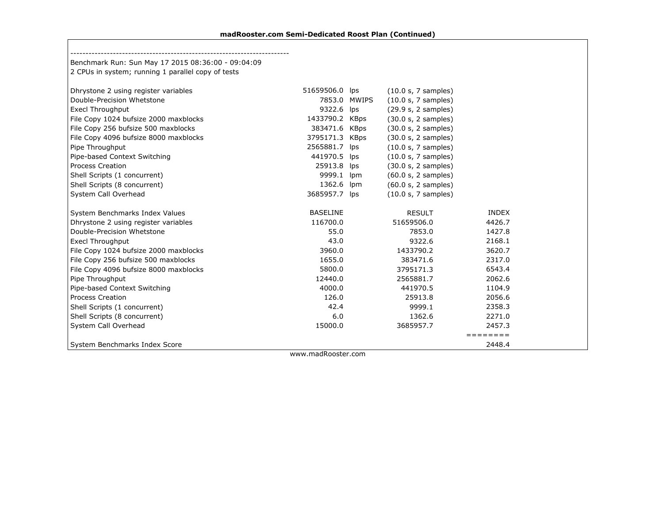$\Gamma$ 

| Benchmark Run: Sun May 17 2015 08:36:00 - 09:04:09 |                 |              |                     |              |  |
|----------------------------------------------------|-----------------|--------------|---------------------|--------------|--|
| 2 CPUs in system; running 1 parallel copy of tests |                 |              |                     |              |  |
| Dhrystone 2 using register variables               | 51659506.0 lps  |              | (10.0 s, 7 samples) |              |  |
| Double-Precision Whetstone                         |                 | 7853.0 MWIPS | (10.0 s, 7 samples) |              |  |
| <b>Execl Throughput</b>                            | 9322.6 lps      |              | (29.9 s, 2 samples) |              |  |
| File Copy 1024 bufsize 2000 maxblocks              | 1433790.2 KBps  |              | (30.0 s, 2 samples) |              |  |
| File Copy 256 bufsize 500 maxblocks                | 383471.6 KBps   |              | (30.0 s, 2 samples) |              |  |
| File Copy 4096 bufsize 8000 maxblocks              | 3795171.3 KBps  |              | (30.0 s, 2 samples) |              |  |
| Pipe Throughput                                    | 2565881.7 lps   |              | (10.0 s, 7 samples) |              |  |
| Pipe-based Context Switching                       | 441970.5 lps    |              | (10.0 s, 7 samples) |              |  |
| <b>Process Creation</b>                            | 25913.8         | lps          | (30.0 s, 2 samples) |              |  |
| Shell Scripts (1 concurrent)                       | 9999.1          | lpm          | (60.0 s, 2 samples) |              |  |
| Shell Scripts (8 concurrent)                       | 1362.6          | lpm          | (60.0 s, 2 samples) |              |  |
| System Call Overhead                               | 3685957.7 lps   |              | (10.0 s, 7 samples) |              |  |
| System Benchmarks Index Values                     | <b>BASELINE</b> |              | <b>RESULT</b>       | <b>INDEX</b> |  |
| Dhrystone 2 using register variables               | 116700.0        |              | 51659506.0          | 4426.7       |  |
| Double-Precision Whetstone                         | 55.0            |              | 7853.0              | 1427.8       |  |
| <b>Execl Throughput</b>                            | 43.0            |              | 9322.6              | 2168.1       |  |
| File Copy 1024 bufsize 2000 maxblocks              | 3960.0          |              | 1433790.2           | 3620.7       |  |
| File Copy 256 bufsize 500 maxblocks                | 1655.0          |              | 383471.6            | 2317.0       |  |
| File Copy 4096 bufsize 8000 maxblocks              | 5800.0          |              | 3795171.3           | 6543.4       |  |
| Pipe Throughput                                    | 12440.0         |              | 2565881.7           | 2062.6       |  |
| Pipe-based Context Switching                       | 4000.0          |              | 441970.5            | 1104.9       |  |
| <b>Process Creation</b>                            | 126.0           |              | 25913.8             | 2056.6       |  |
| Shell Scripts (1 concurrent)                       | 42.4            |              | 9999.1              | 2358.3       |  |
| Shell Scripts (8 concurrent)                       | 6.0             |              | 1362.6              | 2271.0       |  |
| System Call Overhead                               | 15000.0         |              | 3685957.7           | 2457.3       |  |
|                                                    |                 |              |                     | ========     |  |
| System Benchmarks Index Score                      |                 |              |                     | 2448.4       |  |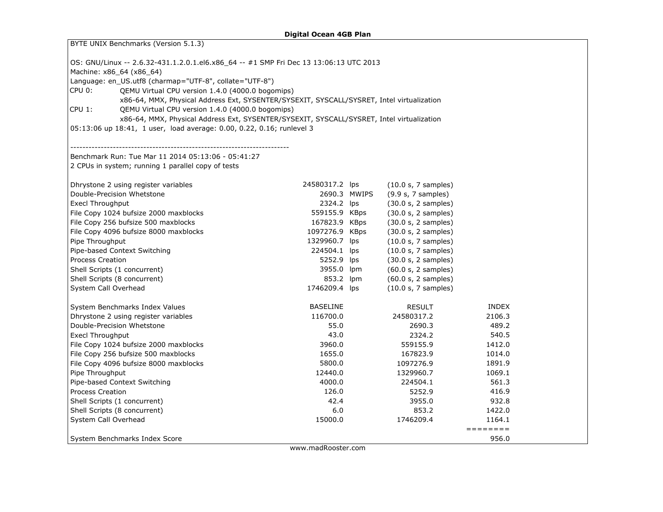| BYTE UNIX Benchmarks (Version 5.1.3)                                                                                                          |                 |                     |                                                                                   |  |  |  |  |  |  |  |
|-----------------------------------------------------------------------------------------------------------------------------------------------|-----------------|---------------------|-----------------------------------------------------------------------------------|--|--|--|--|--|--|--|
|                                                                                                                                               |                 |                     |                                                                                   |  |  |  |  |  |  |  |
| OS: GNU/Linux -- 2.6.32-431.1.2.0.1.el6.x86_64 -- #1 SMP Fri Dec 13 13:06:13 UTC 2013                                                         |                 |                     |                                                                                   |  |  |  |  |  |  |  |
| Machine: x86_64 (x86_64)<br>Language: en US.utf8 (charmap="UTF-8", collate="UTF-8")                                                           |                 |                     |                                                                                   |  |  |  |  |  |  |  |
| CPU 0:<br>QEMU Virtual CPU version 1.4.0 (4000.0 bogomips)                                                                                    |                 |                     |                                                                                   |  |  |  |  |  |  |  |
| x86-64, MMX, Physical Address Ext, SYSENTER/SYSEXIT, SYSCALL/SYSRET, Intel virtualization                                                     |                 |                     |                                                                                   |  |  |  |  |  |  |  |
| CPU 1:                                                                                                                                        |                 |                     |                                                                                   |  |  |  |  |  |  |  |
| QEMU Virtual CPU version 1.4.0 (4000.0 bogomips)<br>x86-64, MMX, Physical Address Ext, SYSENTER/SYSEXIT, SYSCALL/SYSRET, Intel virtualization |                 |                     |                                                                                   |  |  |  |  |  |  |  |
| 05:13:06 up 18:41, 1 user, load average: 0.00, 0.22, 0.16; runlevel 3                                                                         |                 |                     |                                                                                   |  |  |  |  |  |  |  |
|                                                                                                                                               |                 |                     |                                                                                   |  |  |  |  |  |  |  |
|                                                                                                                                               |                 |                     |                                                                                   |  |  |  |  |  |  |  |
| Benchmark Run: Tue Mar 11 2014 05:13:06 - 05:41:27                                                                                            |                 |                     |                                                                                   |  |  |  |  |  |  |  |
| 2 CPUs in system; running 1 parallel copy of tests                                                                                            |                 |                     |                                                                                   |  |  |  |  |  |  |  |
| Dhrystone 2 using register variables                                                                                                          | 24580317.2 lps  | (10.0 s, 7 samples) |                                                                                   |  |  |  |  |  |  |  |
| Double-Precision Whetstone                                                                                                                    | 2690.3 MWIPS    | (9.9 s, 7 samples)  |                                                                                   |  |  |  |  |  |  |  |
| <b>Execl Throughput</b>                                                                                                                       | 2324.2 lps      | (30.0 s, 2 samples) |                                                                                   |  |  |  |  |  |  |  |
| File Copy 1024 bufsize 2000 maxblocks                                                                                                         | 559155.9 KBps   | (30.0 s, 2 samples) |                                                                                   |  |  |  |  |  |  |  |
| File Copy 256 bufsize 500 maxblocks                                                                                                           | 167823.9 KBps   | (30.0 s, 2 samples) |                                                                                   |  |  |  |  |  |  |  |
| File Copy 4096 bufsize 8000 maxblocks                                                                                                         | 1097276.9 KBps  | (30.0 s, 2 samples) |                                                                                   |  |  |  |  |  |  |  |
| Pipe Throughput                                                                                                                               | 1329960.7 lps   | (10.0 s, 7 samples) |                                                                                   |  |  |  |  |  |  |  |
| Pipe-based Context Switching                                                                                                                  | 224504.1 lps    | (10.0 s, 7 samples) |                                                                                   |  |  |  |  |  |  |  |
| <b>Process Creation</b>                                                                                                                       | 5252.9 lps      | (30.0 s, 2 samples) |                                                                                   |  |  |  |  |  |  |  |
| Shell Scripts (1 concurrent)                                                                                                                  | 3955.0 lpm      | (60.0 s, 2 samples) |                                                                                   |  |  |  |  |  |  |  |
| Shell Scripts (8 concurrent)                                                                                                                  | 853.2 lpm       | (60.0 s, 2 samples) |                                                                                   |  |  |  |  |  |  |  |
| System Call Overhead                                                                                                                          | 1746209.4 lps   | (10.0 s, 7 samples) |                                                                                   |  |  |  |  |  |  |  |
| System Benchmarks Index Values                                                                                                                | <b>BASELINE</b> | <b>RESULT</b>       | <b>INDEX</b>                                                                      |  |  |  |  |  |  |  |
| Dhrystone 2 using register variables                                                                                                          | 116700.0        | 24580317.2          | 2106.3                                                                            |  |  |  |  |  |  |  |
| Double-Precision Whetstone                                                                                                                    | 55.0            | 2690.3              | 489.2                                                                             |  |  |  |  |  |  |  |
| <b>Execl Throughput</b>                                                                                                                       | 43.0            | 2324.2              | 540.5                                                                             |  |  |  |  |  |  |  |
| File Copy 1024 bufsize 2000 maxblocks                                                                                                         | 3960.0          | 559155.9            | 1412.0                                                                            |  |  |  |  |  |  |  |
| File Copy 256 bufsize 500 maxblocks                                                                                                           | 1655.0          | 167823.9            | 1014.0                                                                            |  |  |  |  |  |  |  |
| File Copy 4096 bufsize 8000 maxblocks                                                                                                         | 5800.0          | 1097276.9           | 1891.9                                                                            |  |  |  |  |  |  |  |
| Pipe Throughput                                                                                                                               | 12440.0         | 1329960.7           | 1069.1                                                                            |  |  |  |  |  |  |  |
| Pipe-based Context Switching                                                                                                                  | 4000.0          | 224504.1            | 561.3                                                                             |  |  |  |  |  |  |  |
| <b>Process Creation</b>                                                                                                                       | 126.0           | 5252.9              | 416.9                                                                             |  |  |  |  |  |  |  |
| Shell Scripts (1 concurrent)                                                                                                                  | 42.4            | 3955.0              | 932.8                                                                             |  |  |  |  |  |  |  |
| Shell Scripts (8 concurrent)                                                                                                                  | 6.0             | 853.2               | 1422.0                                                                            |  |  |  |  |  |  |  |
| System Call Overhead                                                                                                                          | 15000.0         | 1746209.4           | 1164.1<br>$\qquad \qquad \equiv \equiv \equiv \equiv \equiv \equiv \equiv \equiv$ |  |  |  |  |  |  |  |
| System Benchmarks Index Score                                                                                                                 |                 |                     | 956.0                                                                             |  |  |  |  |  |  |  |
|                                                                                                                                               |                 |                     |                                                                                   |  |  |  |  |  |  |  |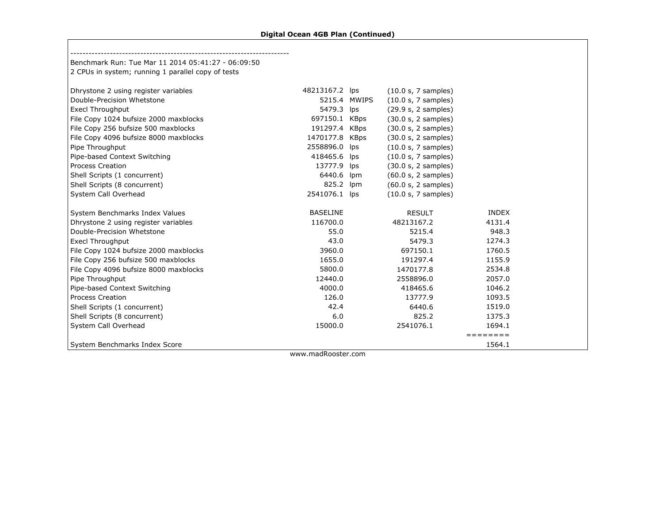Г

| Benchmark Run: Tue Mar 11 2014 05:41:27 - 06:09:50 |                 |     |                     |              |  |
|----------------------------------------------------|-----------------|-----|---------------------|--------------|--|
| 2 CPUs in system; running 1 parallel copy of tests |                 |     |                     |              |  |
| Dhrystone 2 using register variables               | 48213167.2 lps  |     | (10.0 s, 7 samples) |              |  |
| Double-Precision Whetstone                         | 5215.4 MWIPS    |     | (10.0 s, 7 samples) |              |  |
| <b>Execl Throughput</b>                            | 5479.3 lps      |     | (29.9 s, 2 samples) |              |  |
| File Copy 1024 bufsize 2000 maxblocks              | 697150.1 KBps   |     | (30.0 s, 2 samples) |              |  |
| File Copy 256 bufsize 500 maxblocks                | 191297.4 KBps   |     | (30.0 s, 2 samples) |              |  |
| File Copy 4096 bufsize 8000 maxblocks              | 1470177.8 KBps  |     | (30.0 s, 2 samples) |              |  |
| Pipe Throughput                                    | 2558896.0       | lps | (10.0 s, 7 samples) |              |  |
| Pipe-based Context Switching                       | 418465.6 lps    |     | (10.0 s, 7 samples) |              |  |
| <b>Process Creation</b>                            | 13777.9 lps     |     | (30.0 s, 2 samples) |              |  |
| Shell Scripts (1 concurrent)                       | 6440.6          | lpm | (60.0 s, 2 samples) |              |  |
| Shell Scripts (8 concurrent)                       | 825.2 lpm       |     | (60.0 s, 2 samples) |              |  |
| System Call Overhead                               | 2541076.1 lps   |     | (10.0 s, 7 samples) |              |  |
| System Benchmarks Index Values                     | <b>BASELINE</b> |     | <b>RESULT</b>       | <b>INDEX</b> |  |
| Dhrystone 2 using register variables               | 116700.0        |     | 48213167.2          | 4131.4       |  |
| Double-Precision Whetstone                         | 55.0            |     | 5215.4              | 948.3        |  |
| Execl Throughput                                   | 43.0            |     | 5479.3              | 1274.3       |  |
| File Copy 1024 bufsize 2000 maxblocks              | 3960.0          |     | 697150.1            | 1760.5       |  |
| File Copy 256 bufsize 500 maxblocks                | 1655.0          |     | 191297.4            | 1155.9       |  |
| File Copy 4096 bufsize 8000 maxblocks              | 5800.0          |     | 1470177.8           | 2534.8       |  |
| Pipe Throughput                                    | 12440.0         |     | 2558896.0           | 2057.0       |  |
| Pipe-based Context Switching                       | 4000.0          |     | 418465.6            | 1046.2       |  |
| <b>Process Creation</b>                            | 126.0           |     | 13777.9             | 1093.5       |  |
| Shell Scripts (1 concurrent)                       | 42.4            |     | 6440.6              | 1519.0       |  |
| Shell Scripts (8 concurrent)                       | 6.0             |     | 825.2               | 1375.3       |  |
| System Call Overhead                               | 15000.0         |     | 2541076.1           | 1694.1       |  |
|                                                    |                 |     |                     | ========     |  |
| System Benchmarks Index Score                      |                 |     |                     | 1564.1       |  |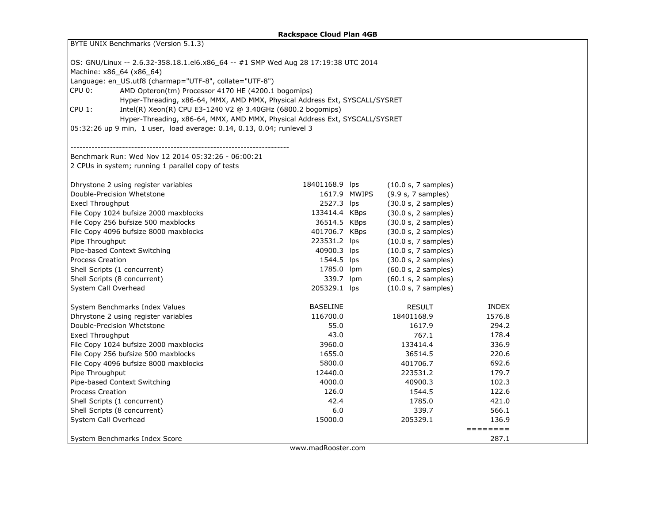| BYTE UNIX Benchmarks (Version 5.1.3)                                               |                 |              |                     |              |  |  |  |  |  |  |
|------------------------------------------------------------------------------------|-----------------|--------------|---------------------|--------------|--|--|--|--|--|--|
| OS: GNU/Linux -- 2.6.32-358.18.1.el6.x86_64 -- #1 SMP Wed Aug 28 17:19:38 UTC 2014 |                 |              |                     |              |  |  |  |  |  |  |
| Machine: x86_64 (x86_64)                                                           |                 |              |                     |              |  |  |  |  |  |  |
| Language: en_US.utf8 (charmap="UTF-8", collate="UTF-8")                            |                 |              |                     |              |  |  |  |  |  |  |
| AMD Opteron(tm) Processor 4170 HE (4200.1 bogomips)<br>CPU 0:                      |                 |              |                     |              |  |  |  |  |  |  |
| Hyper-Threading, x86-64, MMX, AMD MMX, Physical Address Ext, SYSCALL/SYSRET        |                 |              |                     |              |  |  |  |  |  |  |
| CPU 1:<br>Intel(R) Xeon(R) CPU E3-1240 V2 @ 3.40GHz (6800.2 bogomips)              |                 |              |                     |              |  |  |  |  |  |  |
| Hyper-Threading, x86-64, MMX, AMD MMX, Physical Address Ext, SYSCALL/SYSRET        |                 |              |                     |              |  |  |  |  |  |  |
| 05:32:26 up 9 min, 1 user, load average: 0.14, 0.13, 0.04; runlevel 3              |                 |              |                     |              |  |  |  |  |  |  |
|                                                                                    |                 |              |                     |              |  |  |  |  |  |  |
|                                                                                    |                 |              |                     |              |  |  |  |  |  |  |
| Benchmark Run: Wed Nov 12 2014 05:32:26 - 06:00:21                                 |                 |              |                     |              |  |  |  |  |  |  |
| 2 CPUs in system; running 1 parallel copy of tests                                 |                 |              |                     |              |  |  |  |  |  |  |
| Dhrystone 2 using register variables                                               | 18401168.9 lps  |              | (10.0 s, 7 samples) |              |  |  |  |  |  |  |
| Double-Precision Whetstone                                                         |                 | 1617.9 MWIPS | (9.9 s, 7 samples)  |              |  |  |  |  |  |  |
| <b>Execl Throughput</b>                                                            | 2527.3 lps      |              | (30.0 s, 2 samples) |              |  |  |  |  |  |  |
| File Copy 1024 bufsize 2000 maxblocks                                              | 133414.4 KBps   |              | (30.0 s, 2 samples) |              |  |  |  |  |  |  |
| File Copy 256 bufsize 500 maxblocks                                                | 36514.5 KBps    |              | (30.0 s, 2 samples) |              |  |  |  |  |  |  |
| File Copy 4096 bufsize 8000 maxblocks                                              | 401706.7 KBps   |              | (30.0 s, 2 samples) |              |  |  |  |  |  |  |
| Pipe Throughput                                                                    | 223531.2 lps    |              | (10.0 s, 7 samples) |              |  |  |  |  |  |  |
| Pipe-based Context Switching                                                       | 40900.3 lps     |              | (10.0 s, 7 samples) |              |  |  |  |  |  |  |
| <b>Process Creation</b>                                                            | 1544.5 lps      |              | (30.0 s, 2 samples) |              |  |  |  |  |  |  |
| Shell Scripts (1 concurrent)                                                       | 1785.0 lpm      |              | (60.0 s, 2 samples) |              |  |  |  |  |  |  |
| Shell Scripts (8 concurrent)                                                       | 339.7 lpm       |              | (60.1 s, 2 samples) |              |  |  |  |  |  |  |
| System Call Overhead                                                               | 205329.1 lps    |              | (10.0 s, 7 samples) |              |  |  |  |  |  |  |
| System Benchmarks Index Values                                                     | <b>BASELINE</b> |              | <b>RESULT</b>       | <b>INDEX</b> |  |  |  |  |  |  |
| Dhrystone 2 using register variables                                               | 116700.0        |              | 18401168.9          | 1576.8       |  |  |  |  |  |  |
| Double-Precision Whetstone                                                         | 55.0            |              | 1617.9              | 294.2        |  |  |  |  |  |  |
| Execl Throughput                                                                   | 43.0            |              | 767.1               | 178.4        |  |  |  |  |  |  |
| File Copy 1024 bufsize 2000 maxblocks                                              | 3960.0          |              | 133414.4            | 336.9        |  |  |  |  |  |  |
| File Copy 256 bufsize 500 maxblocks                                                | 1655.0          |              | 36514.5             | 220.6        |  |  |  |  |  |  |
| File Copy 4096 bufsize 8000 maxblocks                                              | 5800.0          |              | 401706.7            | 692.6        |  |  |  |  |  |  |
| Pipe Throughput                                                                    | 12440.0         |              | 223531.2            | 179.7        |  |  |  |  |  |  |
| Pipe-based Context Switching                                                       | 4000.0          |              | 40900.3             | 102.3        |  |  |  |  |  |  |
| Process Creation                                                                   | 126.0           |              | 1544.5              | 122.6        |  |  |  |  |  |  |
| 42.4<br>1785.0<br>Shell Scripts (1 concurrent)<br>421.0                            |                 |              |                     |              |  |  |  |  |  |  |
| Shell Scripts (8 concurrent)                                                       | 6.0             |              | 339.7               | 566.1        |  |  |  |  |  |  |
| System Call Overhead                                                               | 15000.0         |              | 205329.1            | 136.9        |  |  |  |  |  |  |
|                                                                                    |                 |              |                     | ========     |  |  |  |  |  |  |
| System Benchmarks Index Score                                                      |                 |              |                     | 287.1        |  |  |  |  |  |  |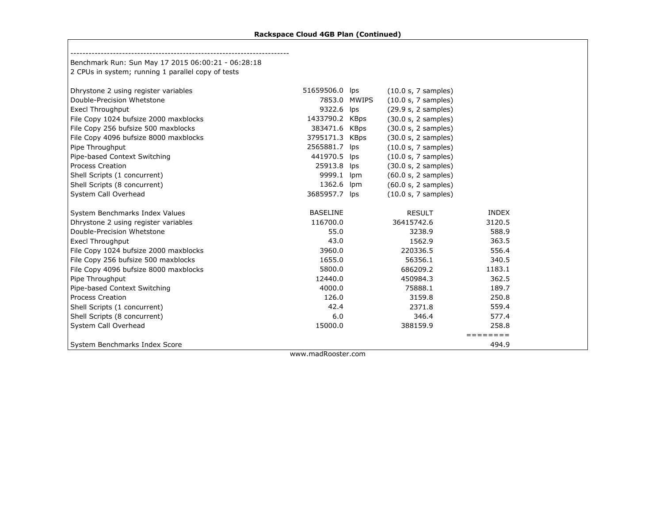$\mathsf{L}$ 

| Benchmark Run: Sun May 17 2015 06:00:21 - 06:28:18 |                 |              |                     |              |  |
|----------------------------------------------------|-----------------|--------------|---------------------|--------------|--|
| 2 CPUs in system; running 1 parallel copy of tests |                 |              |                     |              |  |
|                                                    |                 |              |                     |              |  |
| Dhrystone 2 using register variables               | 51659506.0 lps  |              | (10.0 s, 7 samples) |              |  |
| Double-Precision Whetstone                         |                 | 7853.0 MWIPS | (10.0 s, 7 samples) |              |  |
| <b>Execl Throughput</b>                            | 9322.6 lps      |              | (29.9 s, 2 samples) |              |  |
| File Copy 1024 bufsize 2000 maxblocks              | 1433790.2 KBps  |              | (30.0 s, 2 samples) |              |  |
| File Copy 256 bufsize 500 maxblocks                | 383471.6 KBps   |              | (30.0 s, 2 samples) |              |  |
| File Copy 4096 bufsize 8000 maxblocks              | 3795171.3 KBps  |              | (30.0 s, 2 samples) |              |  |
| Pipe Throughput                                    | 2565881.7 lps   |              | (10.0 s, 7 samples) |              |  |
| Pipe-based Context Switching                       | 441970.5 lps    |              | (10.0 s, 7 samples) |              |  |
| <b>Process Creation</b>                            | 25913.8 lps     |              | (30.0 s, 2 samples) |              |  |
| Shell Scripts (1 concurrent)                       | 9999.1          | <b>Ipm</b>   | (60.0 s, 2 samples) |              |  |
| Shell Scripts (8 concurrent)                       | 1362.6          | lpm          | (60.0 s, 2 samples) |              |  |
| System Call Overhead                               | 3685957.7 lps   |              | (10.0 s, 7 samples) |              |  |
| System Benchmarks Index Values                     | <b>BASELINE</b> |              | <b>RESULT</b>       | <b>INDEX</b> |  |
| Dhrystone 2 using register variables               | 116700.0        |              | 36415742.6          | 3120.5       |  |
| Double-Precision Whetstone                         | 55.0            |              | 3238.9              | 588.9        |  |
| Execl Throughput                                   | 43.0            |              | 1562.9              | 363.5        |  |
| File Copy 1024 bufsize 2000 maxblocks              | 3960.0          |              | 220336.5            | 556.4        |  |
| File Copy 256 bufsize 500 maxblocks                | 1655.0          |              | 56356.1             | 340.5        |  |
| File Copy 4096 bufsize 8000 maxblocks              | 5800.0          |              | 686209.2            | 1183.1       |  |
| Pipe Throughput                                    | 12440.0         |              | 450984.3            | 362.5        |  |
| Pipe-based Context Switching                       | 4000.0          |              | 75888.1             | 189.7        |  |
| <b>Process Creation</b>                            | 126.0           |              | 3159.8              | 250.8        |  |
| Shell Scripts (1 concurrent)                       | 42.4            |              | 2371.8              | 559.4        |  |
| Shell Scripts (8 concurrent)                       | 6.0             |              | 346.4               | 577.4        |  |
| System Call Overhead                               | 15000.0         |              | 388159.9            | 258.8        |  |
|                                                    |                 |              |                     | ========     |  |
| System Benchmarks Index Score                      |                 |              |                     | 494.9        |  |
|                                                    |                 |              |                     |              |  |